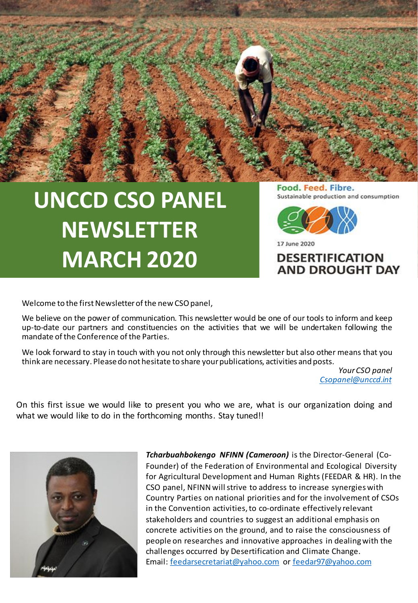## **UNCCD CSO PANEL NEWSLETTER MARCH 2020**

Food. Feed. Fibre. Sustainable production and consumption



17 June 2020

**DESERTIFICATION AND DROUGHT DAY** 

Welcome to the first Newsletter of the new CSO panel,

We believe on the power of communication. This newsletter would be one of our tools to inform and keep up-to-date our partners and constituencies on the activities that we will be undertaken following the mandate of the Conference of the Parties.

We look forward to stay in touch with you not only through this newsletter but also other means that you think are necessary. Pleasedo not hesitate to share yourpublications, activities and posts.

> *Your CSO panel [Csopanel@unccd.int](mailto:Csopanel@unccd.int)*

On this first issue we would like to present you who we are, what is our organization doing and what we would like to do in the forthcoming months. Stay tuned!!



*Tcharbuahbokengo NFINN (Cameroon)* is the Director-General (Co-Founder) of the Federation of Environmental and Ecological Diversity for Agricultural Development and Human Rights (FEEDAR & HR). In the CSO panel, NFINN will strive to address to increase synergies with Country Parties on national priorities and for the involvement of CSOs in the Convention activities, to co-ordinate effectively relevant stakeholders and countries to suggest an additional emphasis on concrete activities on the ground, and to raise the consciousness of people on researches and innovative approaches in dealing with the challenges occurred by Desertification and Climate Change. Email: [feedarsecretariat@yahoo.com](mailto:feedarsecretariat@yahoo.com) or [feedar97@yahoo.com](mailto:feedar97@yahoo.com)